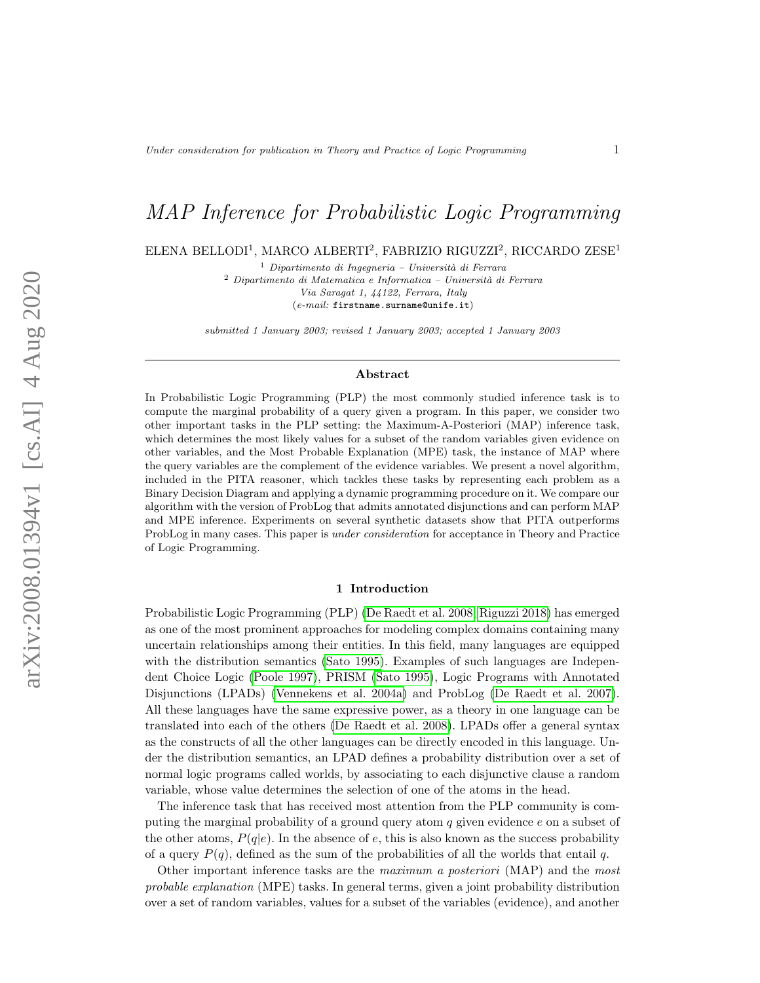# MAP Inference for Probabilistic Logic Programming

 $\rm ELENA$ BELLODI $^{1},$ MARCO ALBERTI $^{2},$  FABRIZIO RIGUZZI $^{2},$  RICCARDO ZESE $^{1}$ 

<sup>1</sup> Dipartimento di Ingegneria – Università di Ferrara

 $^2$  Dipartimento di Matematica e Informatica – Università di Ferrara Via Saragat 1, 44122, Ferrara, Italy

 $(e-mail:$  firstname.surname@unife.it)

submitted 1 January 2003; revised 1 January 2003; accepted 1 January 2003

## Abstract

In Probabilistic Logic Programming (PLP) the most commonly studied inference task is to compute the marginal probability of a query given a program. In this paper, we consider two other important tasks in the PLP setting: the Maximum-A-Posteriori (MAP) inference task, which determines the most likely values for a subset of the random variables given evidence on other variables, and the Most Probable Explanation (MPE) task, the instance of MAP where the query variables are the complement of the evidence variables. We present a novel algorithm, included in the PITA reasoner, which tackles these tasks by representing each problem as a Binary Decision Diagram and applying a dynamic programming procedure on it. We compare our algorithm with the version of ProbLog that admits annotated disjunctions and can perform MAP and MPE inference. Experiments on several synthetic datasets show that PITA outperforms ProbLog in many cases. This paper is *under consideration* for acceptance in Theory and Practice of Logic Programming.

#### 1 Introduction

Probabilistic Logic Programming (PLP) [\(De Raedt et al. 2008;](#page-13-0) [Riguzzi 2018\)](#page-13-1) has emerged as one of the most prominent approaches for modeling complex domains containing many uncertain relationships among their entities. In this field, many languages are equipped with the distribution semantics [\(Sato 1995\)](#page-13-2). Examples of such languages are Independent Choice Logic [\(Poole 1997\)](#page-13-3), PRISM [\(Sato 1995\)](#page-13-2), Logic Programs with Annotated Disjunctions (LPADs) [\(Vennekens et al. 2004a\)](#page-14-0) and ProbLog [\(De Raedt et al. 2007\)](#page-13-4). All these languages have the same expressive power, as a theory in one language can be translated into each of the others [\(De Raedt et al. 2008\)](#page-13-5). LPADs offer a general syntax as the constructs of all the other languages can be directly encoded in this language. Under the distribution semantics, an LPAD defines a probability distribution over a set of normal logic programs called worlds, by associating to each disjunctive clause a random variable, whose value determines the selection of one of the atoms in the head.

The inference task that has received most attention from the PLP community is computing the marginal probability of a ground query atom  $q$  given evidence  $e$  on a subset of the other atoms,  $P(q|e)$ . In the absence of e, this is also known as the success probability of a query  $P(q)$ , defined as the sum of the probabilities of all the worlds that entail q.

Other important inference tasks are the maximum a posteriori (MAP) and the most probable explanation (MPE) tasks. In general terms, given a joint probability distribution over a set of random variables, values for a subset of the variables (evidence), and another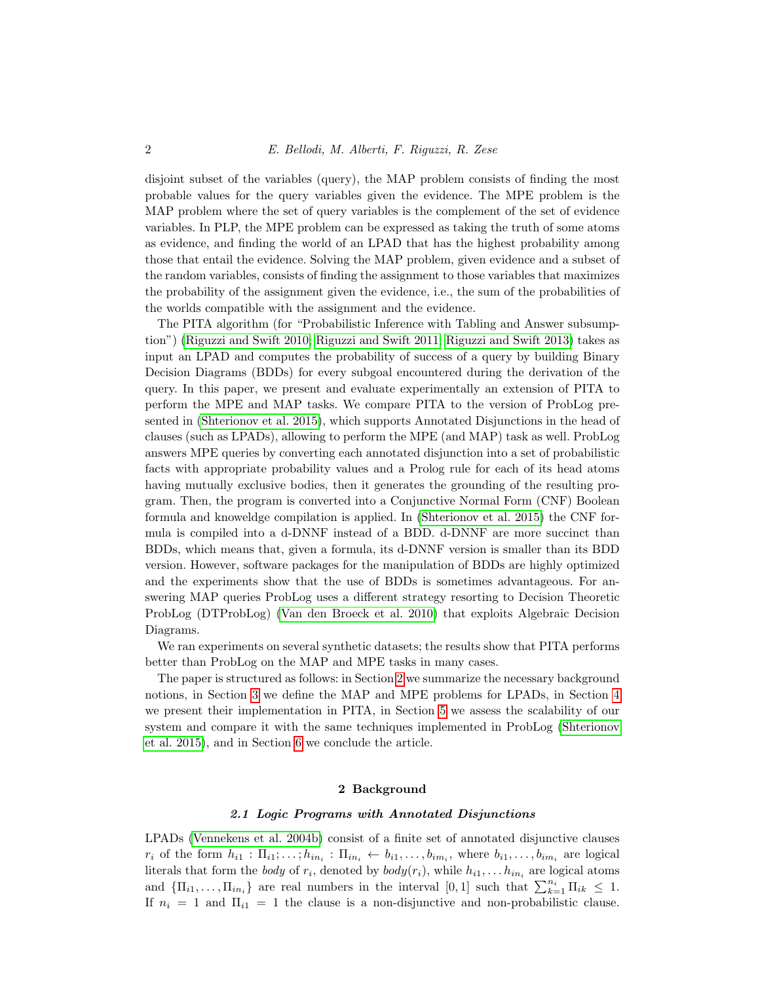disjoint subset of the variables (query), the MAP problem consists of finding the most probable values for the query variables given the evidence. The MPE problem is the MAP problem where the set of query variables is the complement of the set of evidence variables. In PLP, the MPE problem can be expressed as taking the truth of some atoms as evidence, and finding the world of an LPAD that has the highest probability among those that entail the evidence. Solving the MAP problem, given evidence and a subset of the random variables, consists of finding the assignment to those variables that maximizes the probability of the assignment given the evidence, i.e., the sum of the probabilities of the worlds compatible with the assignment and the evidence.

The PITA algorithm (for "Probabilistic Inference with Tabling and Answer subsumption") [\(Riguzzi and Swift 2010;](#page-13-6) [Riguzzi and Swift 2011;](#page-13-7) [Riguzzi and Swift 2013\)](#page-13-8) takes as input an LPAD and computes the probability of success of a query by building Binary Decision Diagrams (BDDs) for every subgoal encountered during the derivation of the query. In this paper, we present and evaluate experimentally an extension of PITA to perform the MPE and MAP tasks. We compare PITA to the version of ProbLog presented in [\(Shterionov et al. 2015\)](#page-13-9), which supports Annotated Disjunctions in the head of clauses (such as LPADs), allowing to perform the MPE (and MAP) task as well. ProbLog answers MPE queries by converting each annotated disjunction into a set of probabilistic facts with appropriate probability values and a Prolog rule for each of its head atoms having mutually exclusive bodies, then it generates the grounding of the resulting program. Then, the program is converted into a Conjunctive Normal Form (CNF) Boolean formula and knoweldge compilation is applied. In [\(Shterionov et al. 2015\)](#page-13-9) the CNF formula is compiled into a d-DNNF instead of a BDD. d-DNNF are more succinct than BDDs, which means that, given a formula, its d-DNNF version is smaller than its BDD version. However, software packages for the manipulation of BDDs are highly optimized and the experiments show that the use of BDDs is sometimes advantageous. For answering MAP queries ProbLog uses a different strategy resorting to Decision Theoretic ProbLog (DTProbLog) [\(Van den Broeck et al. 2010\)](#page-14-1) that exploits Algebraic Decision Diagrams.

We ran experiments on several synthetic datasets; the results show that PITA performs better than ProbLog on the MAP and MPE tasks in many cases.

The paper is structured as follows: in Section [2](#page-1-0) we summarize the necessary background notions, in Section [3](#page-4-0) we define the MAP and MPE problems for LPADs, in Section [4](#page-6-0) we present their implementation in PITA, in Section [5](#page-8-0) we assess the scalability of our system and compare it with the same techniques implemented in ProbLog [\(Shterionov](#page-13-9) [et al. 2015\)](#page-13-9), and in Section [6](#page-11-0) we conclude the article.

## 2 Background

# 2.1 Logic Programs with Annotated Disjunctions

<span id="page-1-0"></span>LPADs [\(Vennekens et al. 2004b\)](#page-14-2) consist of a finite set of annotated disjunctive clauses  $r_i$  of the form  $h_{i1}$ :  $\Pi_{i1}; \ldots; h_{in_i}$ :  $\Pi_{in_i} \leftarrow b_{i1}, \ldots, b_{im_i}$ , where  $b_{i1}, \ldots, b_{im_i}$  are logical literals that form the *body* of  $r_i$ , denoted by  $body(r_i)$ , while  $h_{i1}, \ldots h_{in_i}$  are logical atoms and  ${\{\Pi_{i1}, \ldots, \Pi_{in_i}\}}$  are real numbers in the interval  $[0,1]$  such that  $\sum_{k=1}^{n_i} \Pi_{ik} \leq 1$ . If  $n_i = 1$  and  $\Pi_{i1} = 1$  the clause is a non-disjunctive and non-probabilistic clause.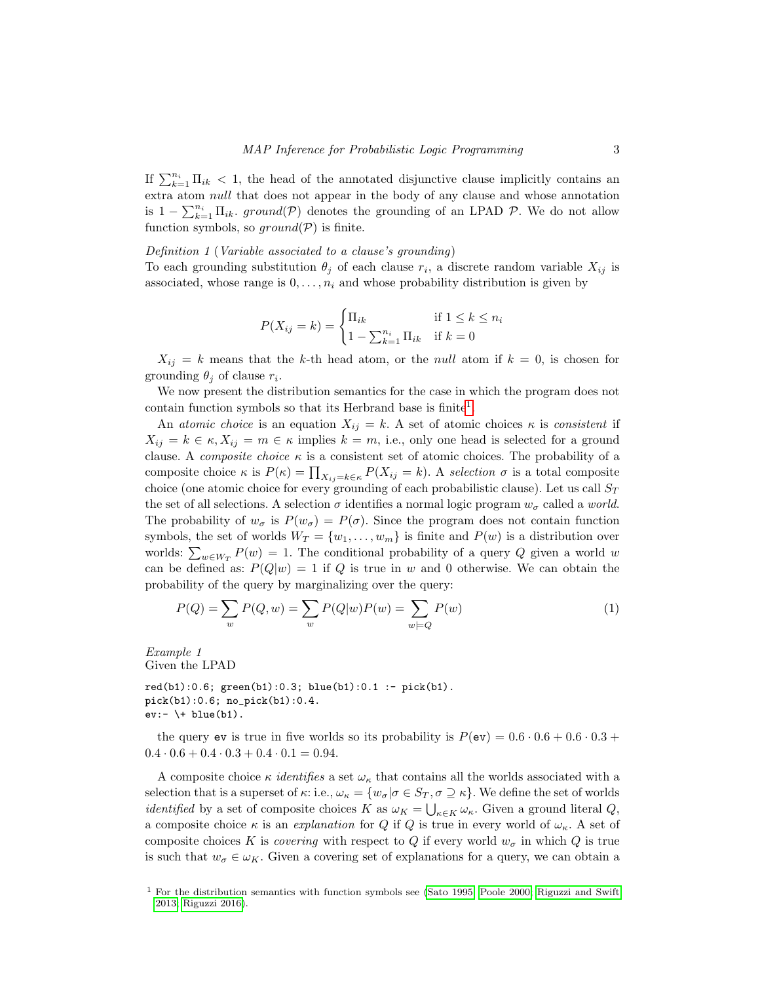If  $\sum_{k=1}^{n_i} \Pi_{ik}$  < 1, the head of the annotated disjunctive clause implicitly contains an extra atom null that does not appear in the body of any clause and whose annotation is  $1 - \sum_{k=1}^{n_i} \Pi_{ik}$ . ground(P) denotes the grounding of an LPAD P. We do not allow function symbols, so  $ground(\mathcal{P})$  is finite.

# Definition 1 (Variable associated to a clause's grounding)

To each grounding substitution  $\theta_j$  of each clause  $r_i$ , a discrete random variable  $X_{ij}$  is associated, whose range is  $0, \ldots, n_i$  and whose probability distribution is given by

$$
P(X_{ij} = k) = \begin{cases} \Pi_{ik} & \text{if } 1 \le k \le n_i \\ 1 - \sum_{k=1}^{n_i} \Pi_{ik} & \text{if } k = 0 \end{cases}
$$

 $X_{ij} = k$  means that the k-th head atom, or the *null* atom if  $k = 0$ , is chosen for grounding  $\theta_j$  of clause  $r_i$ .

We now present the distribution semantics for the case in which the program does not contain function symbols so that its Herbrand base is finite<sup>[1](#page-2-0)</sup>.

An atomic choice is an equation  $X_{ij} = k$ . A set of atomic choices  $\kappa$  is consistent if  $X_{ij} = k \in \kappa, X_{ij} = m \in \kappa$  implies  $k = m$ , i.e., only one head is selected for a ground clause. A *composite choice*  $\kappa$  is a consistent set of atomic choices. The probability of a composite choice  $\kappa$  is  $P(\kappa) = \prod_{X_{ij} = k \in \kappa} P(X_{ij} = k)$ . A selection  $\sigma$  is a total composite choice (one atomic choice for every grounding of each probabilistic clause). Let us call  $S_T$ the set of all selections. A selection  $\sigma$  identifies a normal logic program  $w_{\sigma}$  called a *world*. The probability of  $w_{\sigma}$  is  $P(w_{\sigma}) = P(\sigma)$ . Since the program does not contain function symbols, the set of worlds  $W_T = \{w_1, \ldots, w_m\}$  is finite and  $P(w)$  is a distribution over worlds:  $\sum_{w \in W_T} P(w) = 1$ . The conditional probability of a query Q given a world w can be defined as:  $P(Q|w) = 1$  if Q is true in w and 0 otherwise. We can obtain the probability of the query by marginalizing over the query:

<span id="page-2-1"></span>
$$
P(Q) = \sum_{w} P(Q, w) = \sum_{w} P(Q|w)P(w) = \sum_{w \models Q} P(w)
$$
\n(1)

<span id="page-2-2"></span>Example 1 Given the LPAD red(b1):0.6; green(b1):0.3; blue(b1):0.1 :- pick(b1). pick(b1):0.6; no\_pick(b1):0.4.

 $ev: - \$  + blue(b1).

the query ev is true in five worlds so its probability is  $P(\text{ev}) = 0.6 \cdot 0.6 + 0.6 \cdot 0.3 +$  $0.4 \cdot 0.6 + 0.4 \cdot 0.3 + 0.4 \cdot 0.1 = 0.94.$ 

A composite choice  $\kappa$  *identifies* a set  $\omega_{\kappa}$  that contains all the worlds associated with a selection that is a superset of  $\kappa$ : i.e.,  $\omega_{\kappa} = \{w_{\sigma} | \sigma \in S_T, \sigma \supseteq \kappa\}$ . We define the set of worlds *identified* by a set of composite choices K as  $\omega_K = \bigcup_{\kappa \in K} \omega_{\kappa}$ . Given a ground literal Q, a composite choice  $\kappa$  is an explanation for Q if Q is true in every world of  $\omega_{\kappa}$ . A set of composite choices K is *covering* with respect to Q if every world  $w_{\sigma}$  in which Q is true is such that  $w_{\sigma} \in \omega_K$ . Given a covering set of explanations for a query, we can obtain a

<span id="page-2-0"></span><sup>&</sup>lt;sup>1</sup> For the distribution semantics with function symbols see [\(Sato 1995;](#page-13-2) [Poole 2000;](#page-13-10) [Riguzzi and Swift](#page-13-8) [2013;](#page-13-8) [Riguzzi 2016\)](#page-13-11).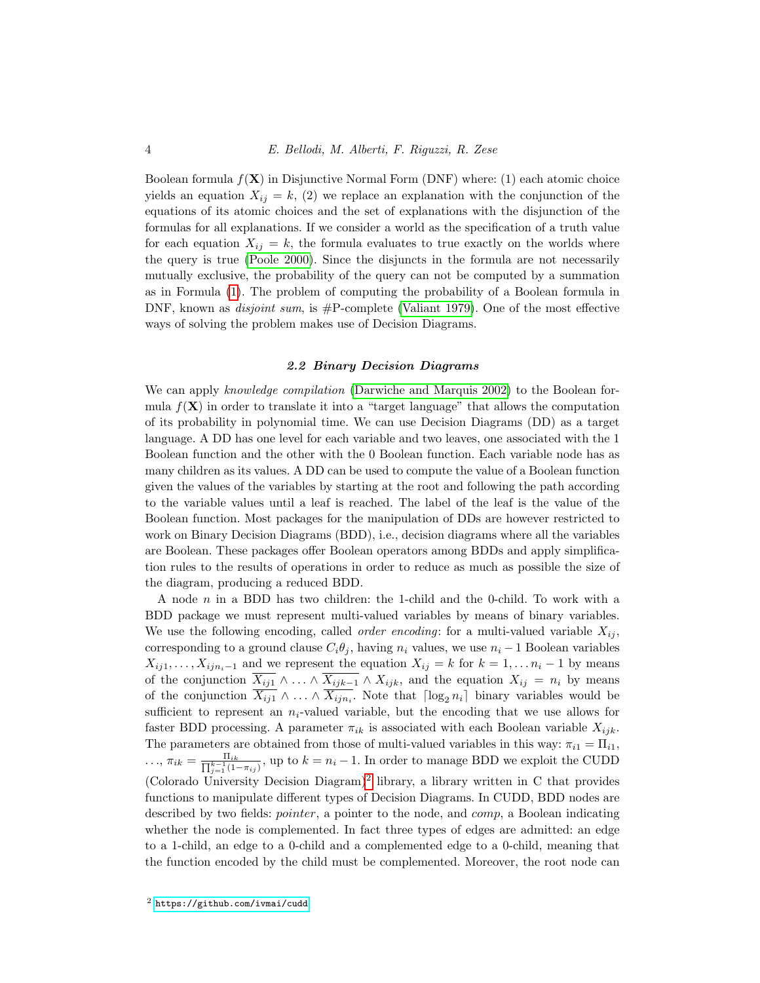Boolean formula  $f(\mathbf{X})$  in Disjunctive Normal Form (DNF) where: (1) each atomic choice yields an equation  $X_{ij} = k$ , (2) we replace an explanation with the conjunction of the equations of its atomic choices and the set of explanations with the disjunction of the formulas for all explanations. If we consider a world as the specification of a truth value for each equation  $X_{ij} = k$ , the formula evaluates to true exactly on the worlds where the query is true [\(Poole 2000\)](#page-13-10). Since the disjuncts in the formula are not necessarily mutually exclusive, the probability of the query can not be computed by a summation as in Formula [\(1\)](#page-2-1). The problem of computing the probability of a Boolean formula in DNF, known as *disjoint sum*, is  $#P$ -complete [\(Valiant 1979\)](#page-14-3). One of the most effective ways of solving the problem makes use of Decision Diagrams.

# 2.2 Binary Decision Diagrams

<span id="page-3-1"></span>We can apply knowledge compilation [\(Darwiche and Marquis 2002\)](#page-13-12) to the Boolean formula  $f(\mathbf{X})$  in order to translate it into a "target language" that allows the computation of its probability in polynomial time. We can use Decision Diagrams (DD) as a target language. A DD has one level for each variable and two leaves, one associated with the 1 Boolean function and the other with the 0 Boolean function. Each variable node has as many children as its values. A DD can be used to compute the value of a Boolean function given the values of the variables by starting at the root and following the path according to the variable values until a leaf is reached. The label of the leaf is the value of the Boolean function. Most packages for the manipulation of DDs are however restricted to work on Binary Decision Diagrams (BDD), i.e., decision diagrams where all the variables are Boolean. These packages offer Boolean operators among BDDs and apply simplification rules to the results of operations in order to reduce as much as possible the size of the diagram, producing a reduced BDD.

A node n in a BDD has two children: the 1-child and the 0-child. To work with a BDD package we must represent multi-valued variables by means of binary variables. We use the following encoding, called *order encoding*: for a multi-valued variable  $X_{ij}$ , corresponding to a ground clause  $C_i \theta_j$ , having  $n_i$  values, we use  $n_i - 1$  Boolean variables  $X_{ij1}, \ldots, X_{ijn_i-1}$  and we represent the equation  $X_{ij} = k$  for  $k = 1, \ldots, n_i - 1$  by means of the conjunction  $\overline{X_{ij1}} \wedge \ldots \wedge \overline{X_{ijk-1}} \wedge X_{ijk}$ , and the equation  $X_{ij} = n_i$  by means of the conjunction  $\overline{X_{ij1}} \wedge \ldots \wedge \overline{X_{ijn_i}}$ . Note that  $\lceil \log_2 n_i \rceil$  binary variables would be sufficient to represent an  $n_i$ -valued variable, but the encoding that we use allows for faster BDD processing. A parameter  $\pi_{ik}$  is associated with each Boolean variable  $X_{ijk}$ . The parameters are obtained from those of multi-valued variables in this way:  $\pi_{i1} = \Pi_{i1}$ ,  $\ldots, \pi_{ik} = \frac{\Pi_{ik}}{\prod_{j=1}^{k-1} (1-\pi_{ij})}$ , up to  $k = n_i - 1$ . In order to manage BDD we exploit the CUDD (Colorado University Decision Diagram)[2](#page-3-0) library, a library written in C that provides functions to manipulate different types of Decision Diagrams. In CUDD, BDD nodes are described by two fields: *pointer*, a pointer to the node, and *comp*, a Boolean indicating whether the node is complemented. In fact three types of edges are admitted: an edge to a 1-child, an edge to a 0-child and a complemented edge to a 0-child, meaning that the function encoded by the child must be complemented. Moreover, the root node can

<span id="page-3-0"></span> $<sup>2</sup>$  <https://github.com/ivmai/cudd></sup>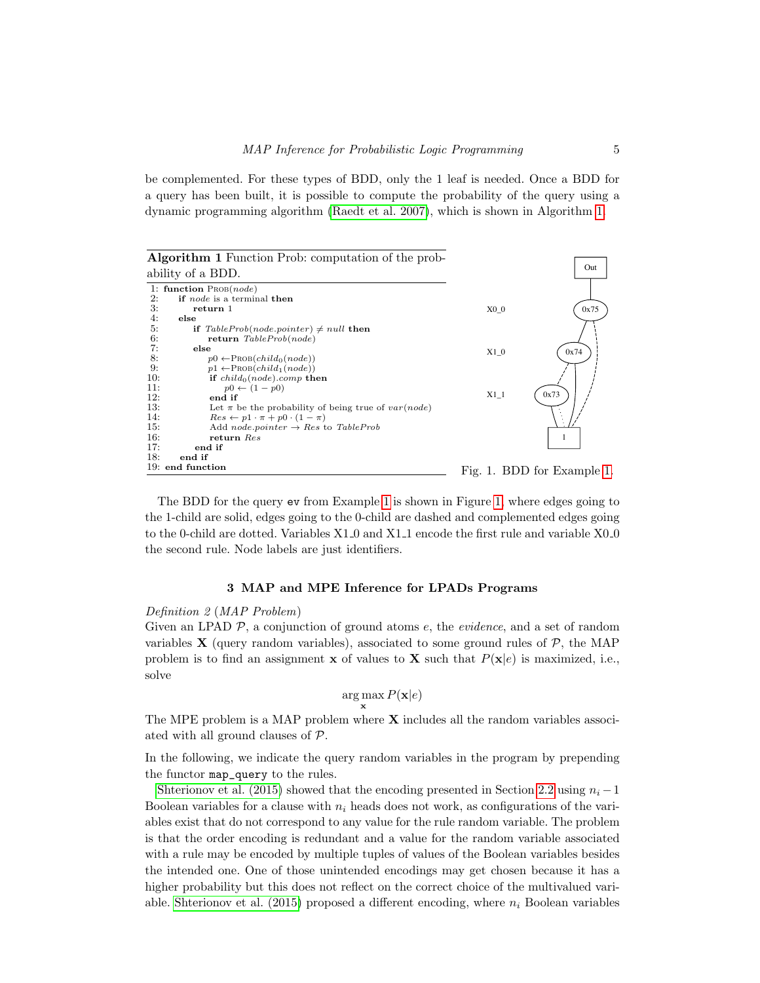be complemented. For these types of BDD, only the 1 leaf is needed. Once a BDD for a query has been built, it is possible to compute the probability of the query using a dynamic programming algorithm [\(Raedt et al. 2007\)](#page-13-13), which is shown in Algorithm [1.](#page-4-1)

<span id="page-4-1"></span>

The BDD for the query ev from Example [1](#page-2-2) is shown in Figure [1,](#page-4-2) where edges going to the 1-child are solid, edges going to the 0-child are dashed and complemented edges going to the 0-child are dotted. Variables  $X1_0$  and  $X1_1$  encode the first rule and variable  $X0_0$ the second rule. Node labels are just identifiers.

# 3 MAP and MPE Inference for LPADs Programs

#### <span id="page-4-0"></span>Definition 2 (MAP Problem)

Given an LPAD  $P$ , a conjunction of ground atoms  $e$ , the *evidence*, and a set of random variables  $\bf{X}$  (query random variables), associated to some ground rules of  $\mathcal{P}$ , the MAP problem is to find an assignment **x** of values to **X** such that  $P(\mathbf{x}|e)$  is maximized, i.e., solve

<span id="page-4-2"></span>
$$
\arg\max_{\mathbf{x}} P(\mathbf{x}|e)
$$

The MPE problem is a MAP problem where  $X$  includes all the random variables associated with all ground clauses of P.

In the following, we indicate the query random variables in the program by prepending the functor map\_query to the rules.

[Shterionov et al. \(2015\)](#page-13-9) showed that the encoding presented in Section [2.2](#page-3-1) using  $n_i - 1$ Boolean variables for a clause with  $n_i$  heads does not work, as configurations of the variables exist that do not correspond to any value for the rule random variable. The problem is that the order encoding is redundant and a value for the random variable associated with a rule may be encoded by multiple tuples of values of the Boolean variables besides the intended one. One of those unintended encodings may get chosen because it has a higher probability but this does not reflect on the correct choice of the multivalued vari-able. [Shterionov et al. \(2015\)](#page-13-9) proposed a different encoding, where  $n_i$  Boolean variables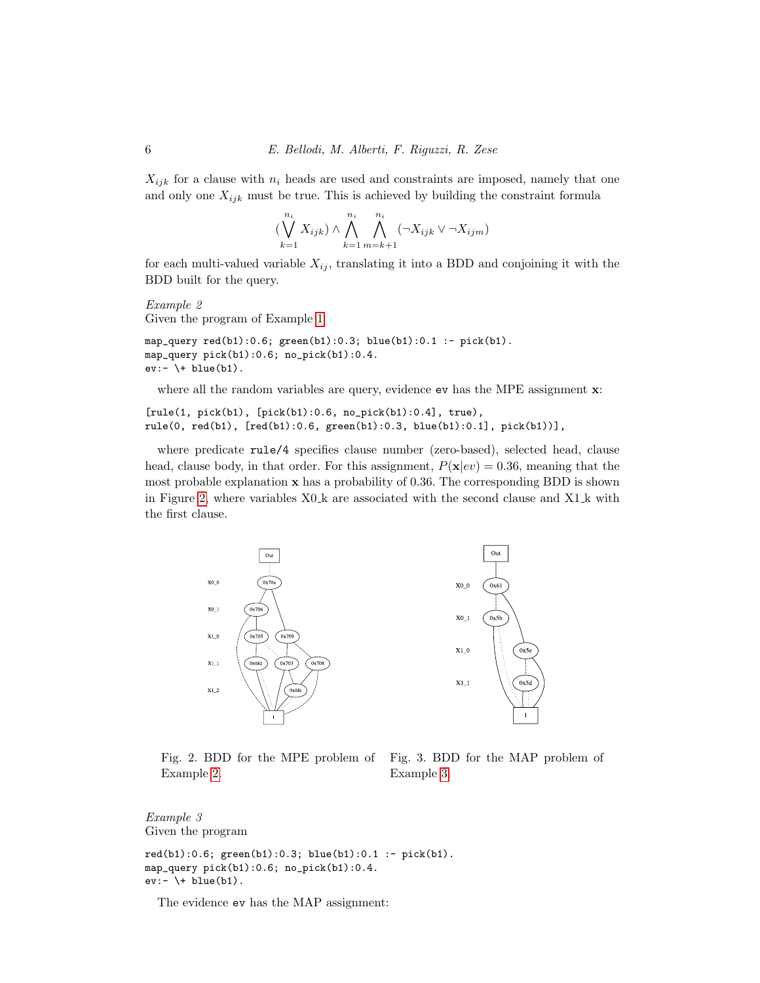$X_{ijk}$  for a clause with  $n_i$  heads are used and constraints are imposed, namely that one and only one  $X_{ijk}$  must be true. This is achieved by building the constraint formula

$$
\left(\bigvee_{k=1}^{n_i} X_{ijk}\right) \wedge \bigwedge_{k=1}^{n_i} \bigwedge_{m=k+1}^{n_i} \left(\neg X_{ijk} \vee \neg X_{ijm}\right)
$$

for each multi-valued variable  $X_{ij}$ , translating it into a BDD and conjoining it with the BDD built for the query.

```
Example 2
Given the program of Example 1
map_query red(b1):0.6; green(b1):0.3; blue(b1):0.1 :- pick(b1).
map_query pick(b1):0.6; no_pick(b1):0.4.
ev: - \setminus + blue(b1).
```
where all the random variables are query, evidence  $ev$  has the MPE assignment  $x$ :

[rule(1, pick(b1), [pick(b1):0.6, no\_pick(b1):0.4], true), rule(0, red(b1), [red(b1):0.6, green(b1):0.3, blue(b1):0.1], pick(b1))],

where predicate  $rule/4$  specifies clause number (zero-based), selected head, clause head, clause body, in that order. For this assignment,  $P(\mathbf{x}|ev) = 0.36$ , meaning that the most probable explanation  $x$  has a probability of 0.36. The corresponding BDD is shown in Figure [2,](#page-5-0) where variables  $X0_k$  are associated with the second clause and  $X1_k$  with the first clause.





Fig. 2. BDD for the MPE problem of Example [2.](#page-5-1)

<span id="page-5-3"></span><span id="page-5-0"></span>Fig. 3. BDD for the MAP problem of Example [3.](#page-5-2)

<span id="page-5-2"></span>Example 3 Given the program

```
red(b1):0.6; green(b1):0.3; blue(b1):0.1 :- pick(b1).
map_query pick(b1):0.6; no_pick(b1):0.4.
ev: - \ + blue(b1).
```
The evidence ev has the MAP assignment: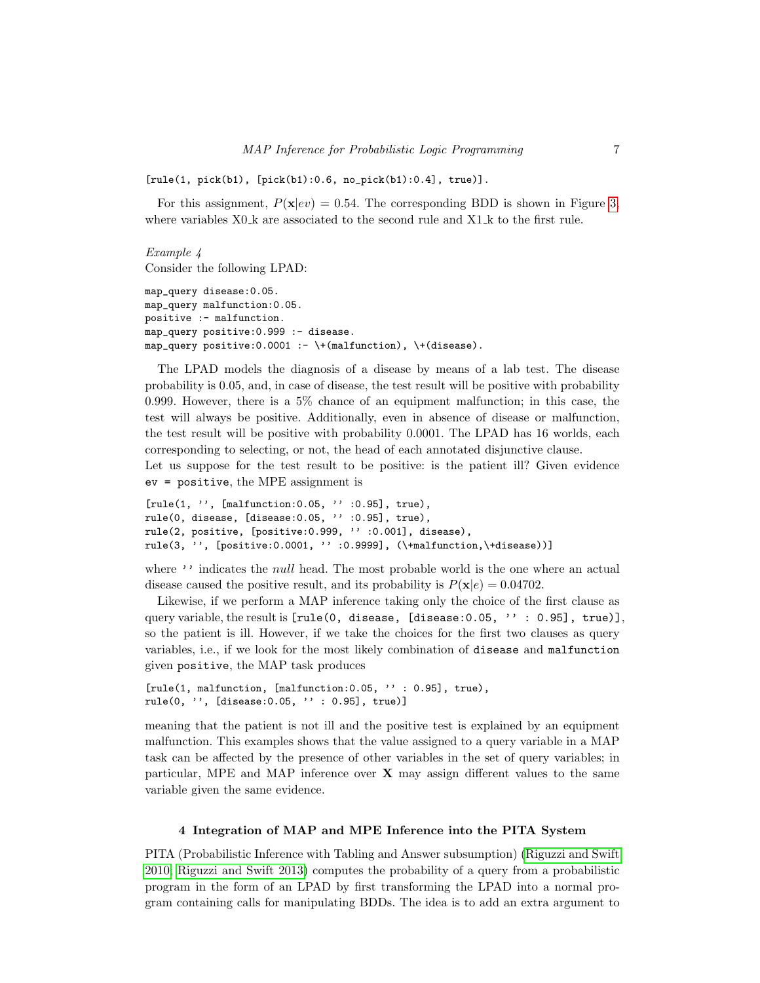$[rule(1, pick(b1), [pick(b1):0.6, no_pick(b1):0.4], true)].$ 

For this assignment,  $P(\mathbf{x}|ev) = 0.54$ . The corresponding BDD is shown in Figure [3,](#page-5-3) where variables  $X_0$  k are associated to the second rule and  $X_1$  k to the first rule.

Example 4 Consider the following LPAD:

```
map_query disease:0.05.
map_query malfunction:0.05.
positive :- malfunction.
map_query positive:0.999 :- disease.
map_query positive: 0.0001 : - \i\cdot (malfunction), \i\cdot (disease).
```
The LPAD models the diagnosis of a disease by means of a lab test. The disease probability is 0.05, and, in case of disease, the test result will be positive with probability 0.999. However, there is a 5% chance of an equipment malfunction; in this case, the test will always be positive. Additionally, even in absence of disease or malfunction, the test result will be positive with probability 0.0001. The LPAD has 16 worlds, each corresponding to selecting, or not, the head of each annotated disjunctive clause.

Let us suppose for the test result to be positive: is the patient ill? Given evidence ev = positive, the MPE assignment is

```
[\text{rule}(1, ''), [\text{malfunction}:0.05, '']: 0.95], true),
rule(0, disease, [disease:0.05, '' :0.95], true),
rule(2, positive, [positive:0.999, '' :0.001], disease),
rule(3, '', [positive:0.0001, '' :0.9999], (\+malfunction,\+disease))]
```
where " indicates the *null* head. The most probable world is the one where an actual disease caused the positive result, and its probability is  $P(\mathbf{x}|e) = 0.04702$ .

Likewise, if we perform a MAP inference taking only the choice of the first clause as query variable, the result is [rule(0, disease, [disease:0.05, '' : 0.95], true)], so the patient is ill. However, if we take the choices for the first two clauses as query variables, i.e., if we look for the most likely combination of disease and malfunction given positive, the MAP task produces

```
[\text{rule}(1, \text{malfunction}, \text{[malfunction:0.05, '')}: 0.95], \text{true}),rule(0, '', [disease:0.05, '' : 0.95], true)]
```
meaning that the patient is not ill and the positive test is explained by an equipment malfunction. This examples shows that the value assigned to a query variable in a MAP task can be affected by the presence of other variables in the set of query variables; in particular, MPE and MAP inference over  $X$  may assign different values to the same variable given the same evidence.

#### 4 Integration of MAP and MPE Inference into the PITA System

<span id="page-6-0"></span>PITA (Probabilistic Inference with Tabling and Answer subsumption) [\(Riguzzi and Swift](#page-13-6) [2010;](#page-13-6) [Riguzzi and Swift 2013\)](#page-13-8) computes the probability of a query from a probabilistic program in the form of an LPAD by first transforming the LPAD into a normal program containing calls for manipulating BDDs. The idea is to add an extra argument to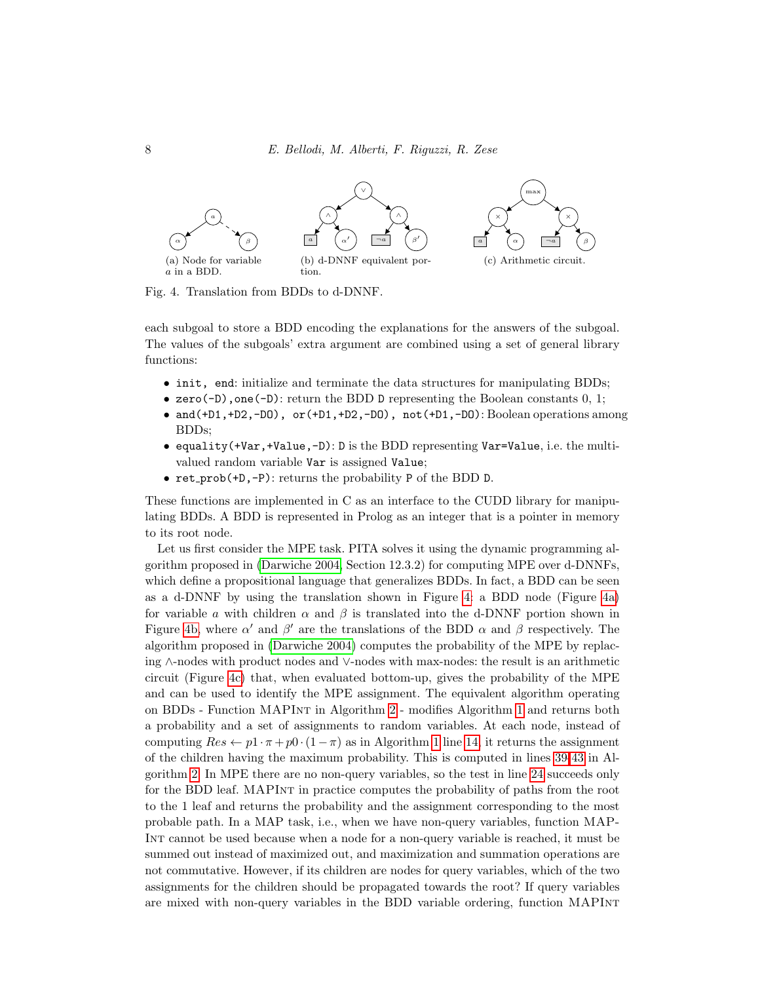<span id="page-7-3"></span><span id="page-7-2"></span><span id="page-7-1"></span><span id="page-7-0"></span>

Fig. 4. Translation from BDDs to d-DNNF.

each subgoal to store a BDD encoding the explanations for the answers of the subgoal. The values of the subgoals' extra argument are combined using a set of general library functions:

- init, end: initialize and terminate the data structures for manipulating BDDs;
- zero(-D), one(-D): return the BDD D representing the Boolean constants  $0, 1$ ;
- and  $(+D1, +D2, -D0)$ , or  $(+D1, +D2, -D0)$ , not  $(+D1, -D0)$ : Boolean operations among BDDs;
- equality(+Var,+Value,-D): D is the BDD representing Var=Value, i.e. the multivalued random variable Var is assigned Value;
- ret prob(+D,-P): returns the probability P of the BDD D.

These functions are implemented in C as an interface to the CUDD library for manipulating BDDs. A BDD is represented in Prolog as an integer that is a pointer in memory to its root node.

Let us first consider the MPE task. PITA solves it using the dynamic programming algorithm proposed in [\(Darwiche 2004,](#page-13-14) Section 12.3.2) for computing MPE over d-DNNFs, which define a propositional language that generalizes BDDs. In fact, a BDD can be seen as a d-DNNF by using the translation shown in Figure [4:](#page-7-0) a BDD node (Figure [4a\)](#page-7-1) for variable a with children  $\alpha$  and  $\beta$  is translated into the d-DNNF portion shown in Figure [4b,](#page-7-2) where  $\alpha'$  and  $\beta'$  are the translations of the BDD  $\alpha$  and  $\beta$  respectively. The algorithm proposed in [\(Darwiche 2004\)](#page-13-14) computes the probability of the MPE by replacing ∧-nodes with product nodes and ∨-nodes with max-nodes: the result is an arithmetic circuit (Figure [4c\)](#page-7-3) that, when evaluated bottom-up, gives the probability of the MPE and can be used to identify the MPE assignment. The equivalent algorithm operating on BDDs - Function MAPInt in Algorithm [2](#page-9-0) - modifies Algorithm [1](#page-4-1) and returns both a probability and a set of assignments to random variables. At each node, instead of computing  $Res \leftarrow p1 \cdot \pi + p0 \cdot (1 - \pi)$  as in Algorithm [1](#page-4-1) line [14,](#page-4-1) it returns the assignment of the children having the maximum probability. This is computed in lines [39-43](#page-9-0) in Algorithm [2.](#page-9-0) In MPE there are no non-query variables, so the test in line [24](#page-9-0) succeeds only for the BDD leaf. MAPInt in practice computes the probability of paths from the root to the 1 leaf and returns the probability and the assignment corresponding to the most probable path. In a MAP task, i.e., when we have non-query variables, function MAP-Int cannot be used because when a node for a non-query variable is reached, it must be summed out instead of maximized out, and maximization and summation operations are not commutative. However, if its children are nodes for query variables, which of the two assignments for the children should be propagated towards the root? If query variables are mixed with non-query variables in the BDD variable ordering, function MAPInt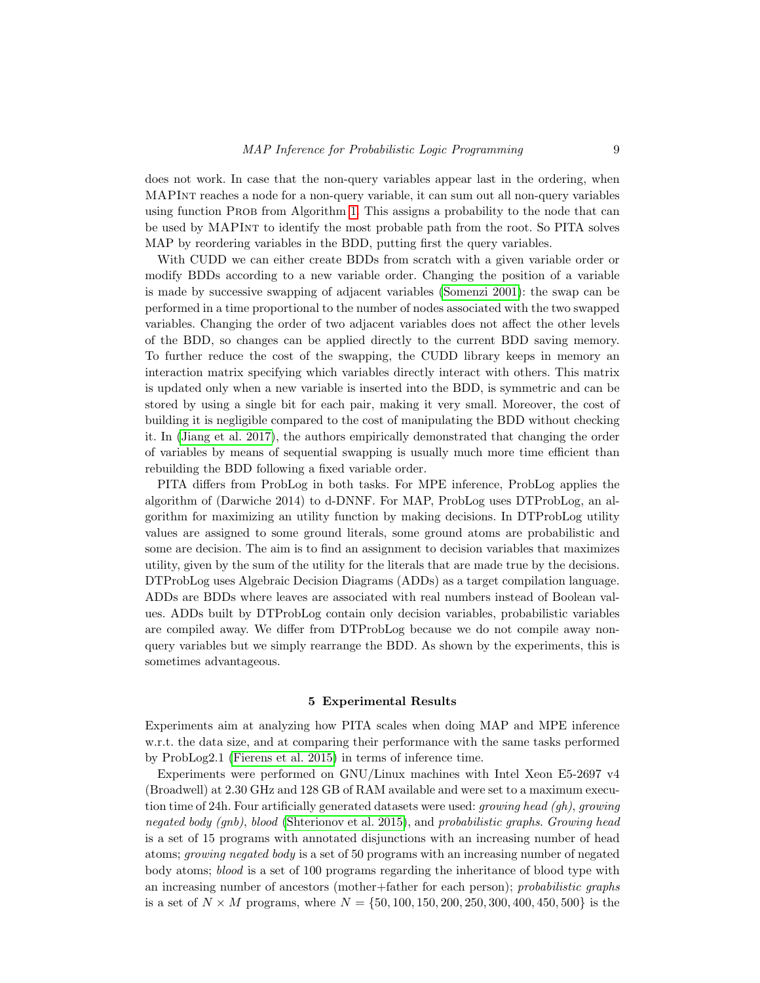does not work. In case that the non-query variables appear last in the ordering, when MAPInt reaches a node for a non-query variable, it can sum out all non-query variables using function PROB from Algorithm [1.](#page-4-1) This assigns a probability to the node that can be used by MAPInt to identify the most probable path from the root. So PITA solves MAP by reordering variables in the BDD, putting first the query variables.

With CUDD we can either create BDDs from scratch with a given variable order or modify BDDs according to a new variable order. Changing the position of a variable is made by successive swapping of adjacent variables [\(Somenzi 2001\)](#page-13-15): the swap can be performed in a time proportional to the number of nodes associated with the two swapped variables. Changing the order of two adjacent variables does not affect the other levels of the BDD, so changes can be applied directly to the current BDD saving memory. To further reduce the cost of the swapping, the CUDD library keeps in memory an interaction matrix specifying which variables directly interact with others. This matrix is updated only when a new variable is inserted into the BDD, is symmetric and can be stored by using a single bit for each pair, making it very small. Moreover, the cost of building it is negligible compared to the cost of manipulating the BDD without checking it. In [\(Jiang et al. 2017\)](#page-13-16), the authors empirically demonstrated that changing the order of variables by means of sequential swapping is usually much more time efficient than rebuilding the BDD following a fixed variable order.

PITA differs from ProbLog in both tasks. For MPE inference, ProbLog applies the algorithm of (Darwiche 2014) to d-DNNF. For MAP, ProbLog uses DTProbLog, an algorithm for maximizing an utility function by making decisions. In DTProbLog utility values are assigned to some ground literals, some ground atoms are probabilistic and some are decision. The aim is to find an assignment to decision variables that maximizes utility, given by the sum of the utility for the literals that are made true by the decisions. DTProbLog uses Algebraic Decision Diagrams (ADDs) as a target compilation language. ADDs are BDDs where leaves are associated with real numbers instead of Boolean values. ADDs built by DTProbLog contain only decision variables, probabilistic variables are compiled away. We differ from DTProbLog because we do not compile away nonquery variables but we simply rearrange the BDD. As shown by the experiments, this is sometimes advantageous.

#### 5 Experimental Results

<span id="page-8-0"></span>Experiments aim at analyzing how PITA scales when doing MAP and MPE inference w.r.t. the data size, and at comparing their performance with the same tasks performed by ProbLog2.1 [\(Fierens et al. 2015\)](#page-13-17) in terms of inference time.

Experiments were performed on GNU/Linux machines with Intel Xeon E5-2697 v4 (Broadwell) at 2.30 GHz and 128 GB of RAM available and were set to a maximum execution time of 24h. Four artificially generated datasets were used: *growing head (gh), growing* negated body (gnb), blood [\(Shterionov et al. 2015\)](#page-13-9), and probabilistic graphs. Growing head is a set of 15 programs with annotated disjunctions with an increasing number of head atoms; growing negated body is a set of 50 programs with an increasing number of negated body atoms; blood is a set of 100 programs regarding the inheritance of blood type with an increasing number of ancestors (mother+father for each person); probabilistic graphs is a set of  $N \times M$  programs, where  $N = \{50, 100, 150, 200, 250, 300, 400, 450, 500\}$  is the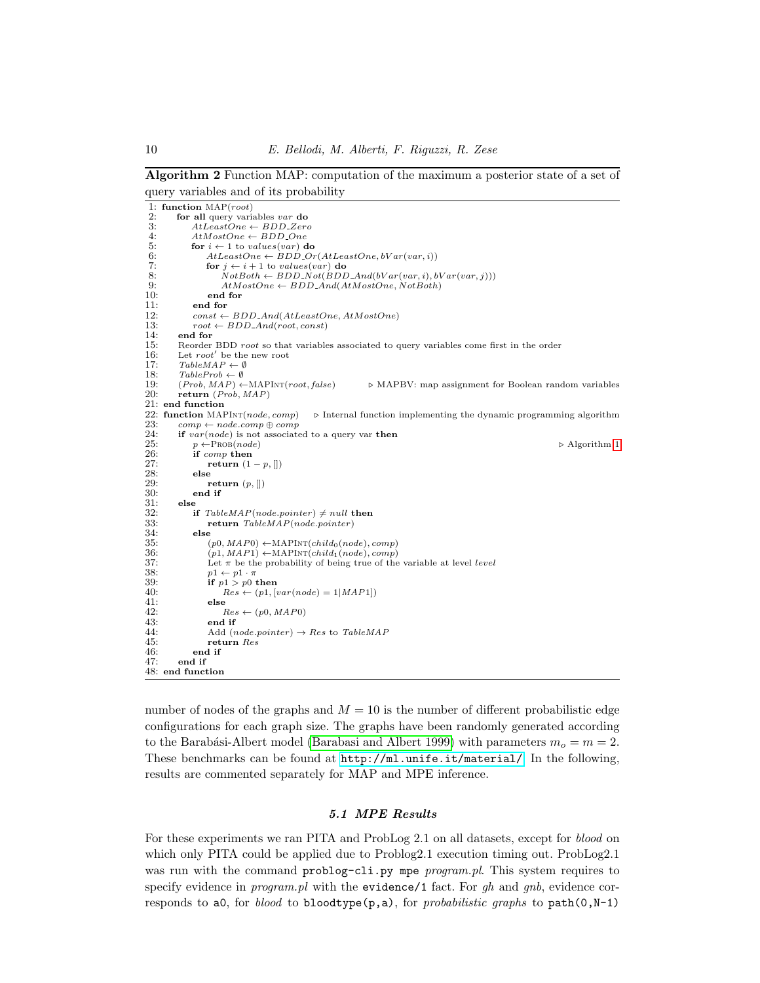Algorithm 2 Function MAP: computation of the maximum a posterior state of a set of query variables and of its probability

```
1: function MAP(root)<br>2: for all query vari
2: for all query variables var do<br>3: \Delta t LeastOne \leftarrow BDD\_Zero3: AtLeastOne ← BDD Zero
4: AtMostOne \leftarrow BDD\_One<br>5: for i \leftarrow 1 to values(var)5: for i \leftarrow 1 to values(var) do<br>6: \begin{array}{c} AtLeastOne \leftarrow BDD\_Or \end{array}6: \Delta t = ABDDDc(r(\Delta t = bNc, bVar(var, i))<br>
7: \qquad \qquad \textbf{for } j \leftarrow i+1 \textbf{ to } values(var) \textbf{ do}for i \leftarrow i + 1 to values(var) do
 8: N \circ t \circ b \circ b \leftarrow BDD_N \circ t \circ (BDD\_And(bVar(var, i), bVar(var, j)))<br>9: AtMostOne \leftarrow BDD\_And(AtMostOne, NotBoth)9: AtMostOne \leftarrow BDD\_And(AtMostOne, NotBoth)<br>10: end for
10: end for<br>11: end for
11: end for<br>12: const \leftarrow12: const \leftarrow BDD\_And(AtLeastOne, AtMostOne)<br>13: root \leftarrow BDD\_And(root \; const)13: root \leftarrow BDD\_And(root, const)<br>14: end for
14: end for<br>15: Reorder
           Reorder BDD root so that variables associated to query variables come first in the order
16: Let root' be the new root<br>17: TableMAP \leftarrow \emptyset17: TableMAP \leftarrow \emptyset<br>18: TableProb \leftarrow \emptysetTableProb \leftarrow \emptyset<br>(Prob, MAP) ← MAPINT(root, false)
19: (Prob, MAP) \leftarrow \text{MAPINT}(root, false) \rightarrow \text{MAPBV: map assignment for Boolean random variables}<br>20: return (Prob, MAP)return (Prob, MAP)21: end function<br>22: function MAPINT(node, comp)
22: function MAPINT(node, comp) \triangleright Internal function implementing the dynamic programming algorithm <br>23: comp \leftarrow node comp \oplus comp
23: comp \leftarrow node.comp \oplus comp<br>24: if var(node) is not associate
24: if var(node) is not associated to a query var then 25: n \leftarrow \text{PROB}(node)25: p \leftarrow \text{PROB}(node) \triangleright 1 26:
26: if comp then<br>27: return (1)27: return (1 - p, []<br>28: else
\begin{array}{ccc} 28: & & \text{else} \\ 29: & & \end{array}29: return (p, []<br>30: end if
30: end if 31: else
31: else<br>32: i
32: if TableMAP(node.pointer) \neq null then<br>33: return TableMAP(node\,pointer)33: return TableMAP(node.pointer)<br>34: else
34: else<br>35: (
35: (p0, MAP0) \leftarrow \text{MAPINT}(child_0(node), comp)<br>36: (p1, MAP1) \leftarrow \text{MAPINT}(child_1(node), comp)36: (p1, MAP1) \leftarrow \text{MAPINT}(child_1(node), comp)<br>37: Let \pi be the probability of being true of the
37: Let \pi be the probability of being true of the variable at level level 38.
38: p1 \leftarrow p1 \cdot \pi<br>39: \qquad \qquad \text{if } p1 > p039: if p1 > p0 then<br>40: Res \leftarrow (p1, [r]40: Res \leftarrow (p1, [var(node) = 1 | MAP1]<br>41: else
41: \qquad \qquad else \qquad \qquad \qquad \qquad else
42: Res \leftarrow (p0, MAP0)<br>43: end if
43: \qquad \qquad \text{end if}<br>44: \qquad \qquad \text{Add } (n)44: Add (node.pointer) \rightarrow Res to TableMAP<br>45: return Res
45: return Res<br>46: end if
46: end if 47: end if
           end if
48: end function
```
number of nodes of the graphs and  $M = 10$  is the number of different probabilistic edge configurations for each graph size. The graphs have been randomly generated according to the Barabási-Albert model [\(Barabasi and Albert 1999\)](#page-13-18) with parameters  $m_o = m = 2$ . These benchmarks can be found at <http://ml.unife.it/material/>. In the following, results are commented separately for MAP and MPE inference.

#### 5.1 MPE Results

<span id="page-9-1"></span>For these experiments we ran PITA and ProbLog 2.1 on all datasets, except for blood on which only PITA could be applied due to Problog2.1 execution timing out. ProbLog2.1 was run with the command problog-cli.py mpe *program.pl*. This system requires to specify evidence in  $program.pl$  with the evidence/1 fact. For gh and gnb, evidence corresponds to a0, for *blood* to bloodtype(p,a), for *probabilistic graphs* to path(0,N-1)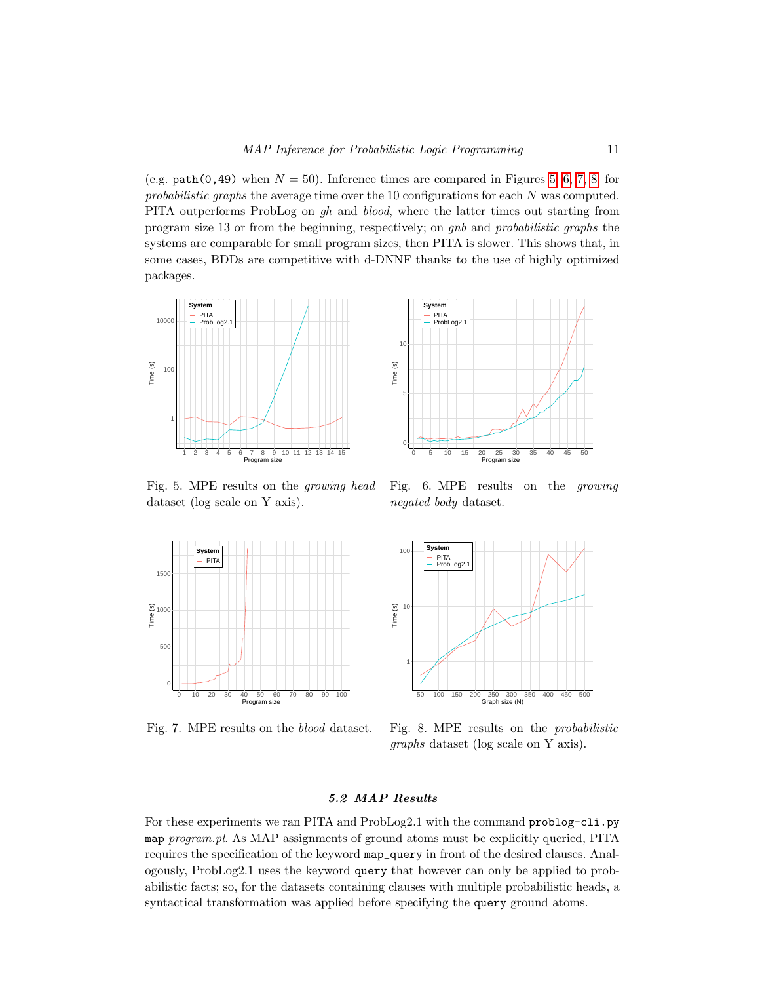(e.g. path(0,49) when  $N = 50$ ). Inference times are compared in Figures [5,](#page-10-0) [6,](#page-10-1) [7,](#page-10-2) [8;](#page-10-3) for probabilistic graphs the average time over the 10 configurations for each N was computed. PITA outperforms ProbLog on gh and blood, where the latter times out starting from program size 13 or from the beginning, respectively; on gnb and probabilistic graphs the systems are comparable for small program sizes, then PITA is slower. This shows that, in some cases, BDDs are competitive with d-DNNF thanks to the use of highly optimized packages.



Fig. 5. MPE results on the growing head dataset (log scale on Y axis).



Fig. 7. MPE results on the blood dataset.



<span id="page-10-1"></span><span id="page-10-0"></span>Fig. 6. MPE results on the growing negated body dataset.



<span id="page-10-3"></span><span id="page-10-2"></span>Fig. 8. MPE results on the probabilistic graphs dataset (log scale on Y axis).

# 5.2 MAP Results

For these experiments we ran PITA and ProbLog2.1 with the command problog-cli.py map program.pl. As MAP assignments of ground atoms must be explicitly queried, PITA requires the specification of the keyword map\_query in front of the desired clauses. Analogously, ProbLog2.1 uses the keyword query that however can only be applied to probabilistic facts; so, for the datasets containing clauses with multiple probabilistic heads, a syntactical transformation was applied before specifying the query ground atoms.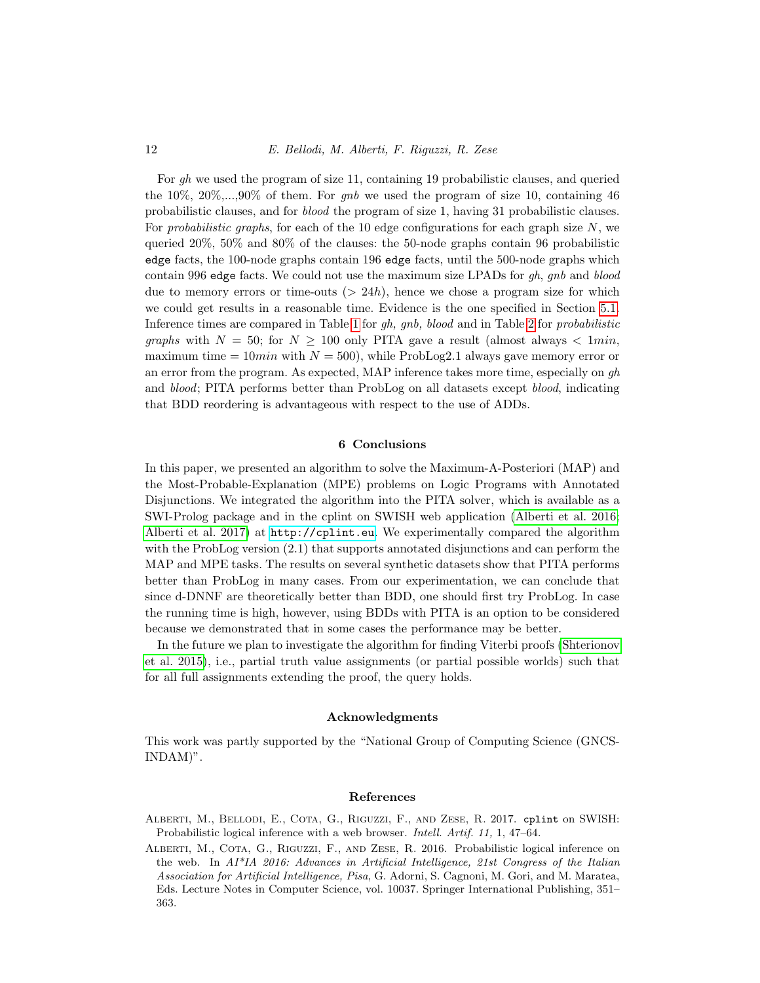For gh we used the program of size 11, containing 19 probabilistic clauses, and queried the  $10\%, 20\%, ..., 90\%$  of them. For  $gnb$  we used the program of size 10, containing 46 probabilistic clauses, and for blood the program of size 1, having 31 probabilistic clauses. For probabilistic graphs, for each of the 10 edge configurations for each graph size  $N$ , we queried 20%, 50% and 80% of the clauses: the 50-node graphs contain 96 probabilistic edge facts, the 100-node graphs contain 196 edge facts, until the 500-node graphs which contain 996 edge facts. We could not use the maximum size LPADs for gh, gnb and blood due to memory errors or time-outs  $(> 24h)$ , hence we chose a program size for which we could get results in a reasonable time. Evidence is the one specified in Section [5.1.](#page-9-1) Inference times are compared in Table [1](#page-12-0) for  $gh$ ,  $gh$ ,  $blood$  and in Table [2](#page-12-1) for probabilistic graphs with  $N = 50$ ; for  $N \ge 100$  only PITA gave a result (almost always  $\lt 1min$ , maximum time  $= 10min$  with  $N = 500$ , while ProbLog2.1 always gave memory error or an error from the program. As expected, MAP inference takes more time, especially on  $gh$ and blood; PITA performs better than ProbLog on all datasets except blood, indicating that BDD reordering is advantageous with respect to the use of ADDs.

# 6 Conclusions

<span id="page-11-0"></span>In this paper, we presented an algorithm to solve the Maximum-A-Posteriori (MAP) and the Most-Probable-Explanation (MPE) problems on Logic Programs with Annotated Disjunctions. We integrated the algorithm into the PITA solver, which is available as a SWI-Prolog package and in the cplint on SWISH web application [\(Alberti et al. 2016;](#page-11-1) [Alberti et al. 2017\)](#page-11-2) at <http://cplint.eu>. We experimentally compared the algorithm with the ProbLog version (2.1) that supports annotated disjunctions and can perform the MAP and MPE tasks. The results on several synthetic datasets show that PITA performs better than ProbLog in many cases. From our experimentation, we can conclude that since d-DNNF are theoretically better than BDD, one should first try ProbLog. In case the running time is high, however, using BDDs with PITA is an option to be considered because we demonstrated that in some cases the performance may be better.

In the future we plan to investigate the algorithm for finding Viterbi proofs [\(Shterionov](#page-13-9) [et al. 2015\)](#page-13-9), i.e., partial truth value assignments (or partial possible worlds) such that for all full assignments extending the proof, the query holds.

# Acknowledgments

This work was partly supported by the "National Group of Computing Science (GNCS-INDAM)".

#### References

- <span id="page-11-2"></span>Alberti, M., Bellodi, E., Cota, G., Riguzzi, F., and Zese, R. 2017. cplint on SWISH: Probabilistic logical inference with a web browser. *Intell. Artif.* 11, 1, 47–64.
- <span id="page-11-1"></span>ALBERTI, M., COTA, G., RIGUZZI, F., AND ZESE, R. 2016. Probabilistic logical inference on the web. In  $AI*IA$  2016: Advances in Artificial Intelligence, 21st Congress of the Italian Association for Artificial Intelligence, Pisa, G. Adorni, S. Cagnoni, M. Gori, and M. Maratea, Eds. Lecture Notes in Computer Science, vol. 10037. Springer International Publishing, 351– 363.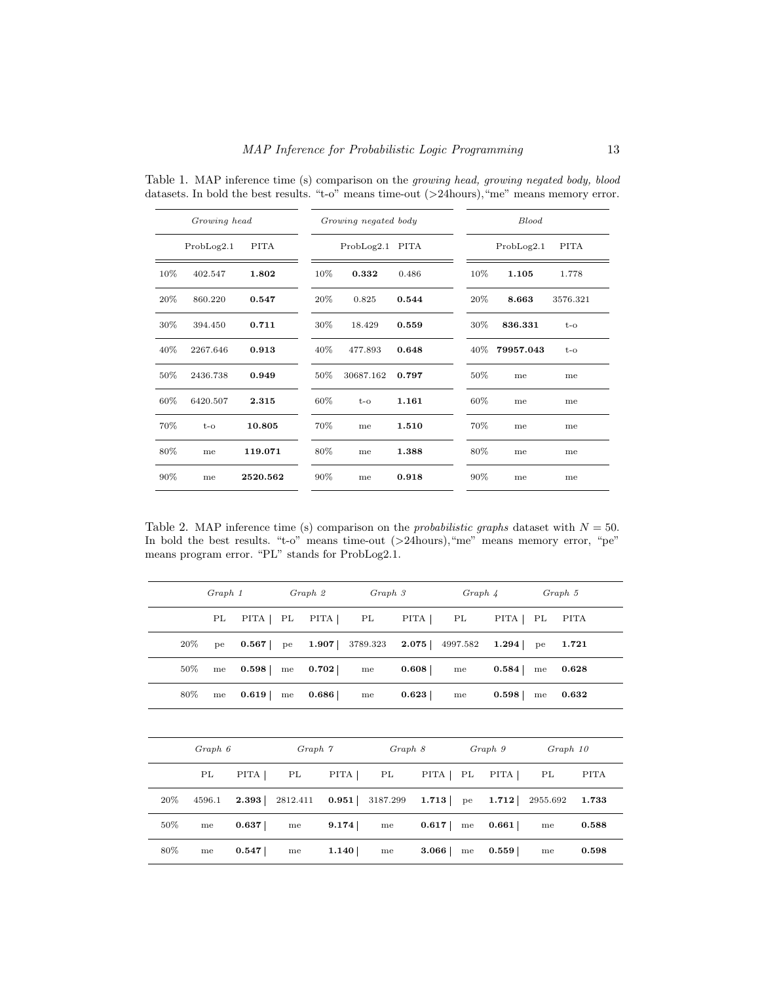| Growing head |          |             | Growing negated body |                 |       |  | Blood  |             |            |  |
|--------------|----------|-------------|----------------------|-----------------|-------|--|--------|-------------|------------|--|
| ProbLog2.1   |          | <b>PITA</b> |                      | ProbLog2.1 PITA |       |  |        | <b>PITA</b> |            |  |
| $10\%$       | 402.547  | 1.802       | 10%                  | 0.332           | 0.486 |  | $10\%$ | 1.105       | 1.778      |  |
| 20%          | 860.220  | 0.547       | 20%                  | 0.825           | 0.544 |  | 20%    | 8.663       | 3576.321   |  |
| 30%          | 394.450  | 0.711       | 30%                  | 18.429          | 0.559 |  | 30%    | 836.331     | $t-\alpha$ |  |
| 40%          | 2267.646 | 0.913       | 40%                  | 477.893         | 0.648 |  | 40%    | 79957.043   | $t-\alpha$ |  |
| 50%          | 2436.738 | 0.949       | 50%                  | 30687.162       | 0.797 |  | 50%    | me          | me         |  |
| $60\%$       | 6420.507 | 2.315       | 60%                  | $t-\alpha$      | 1.161 |  | 60%    | me          | me         |  |
| 70%          | $t - o$  | 10.805      | 70%                  | me              | 1.510 |  | 70%    | me          | me         |  |
| 80%          | me       | 119.071     | 80%                  | me              | 1.388 |  | 80%    | me          | me         |  |
| $90\%$       | me       | 2520.562    | 90%                  | me              | 0.918 |  | 90%    | me          | me         |  |

<span id="page-12-0"></span>Table 1. MAP inference time (s) comparison on the growing head, growing negated body, blood datasets. In bold the best results. "t-o" means time-out (>24hours),"me" means memory error.

<span id="page-12-1"></span>Table 2. MAP inference time (s) comparison on the *probabilistic graphs* dataset with  $N = 50$ . In bold the best results. "t-o" means time-out (>24hours),"me" means memory error, "pe" means program error. "PL" stands for ProbLog2.1.

|     | Graph 1 |       | Graph 2  |         | Graph 3  |             | Graph 4    |         | Graph 5  |             |
|-----|---------|-------|----------|---------|----------|-------------|------------|---------|----------|-------------|
|     | PL      | PITA  | PL       | PITA    | PL       | PITA        | PL         | PITA    | PL       | <b>PITA</b> |
| 20% | pe      | 0.567 | pe       | 1.907   | 3789.323 | 2.075       | 4997.582   | 1.294   | pe       | 1.721       |
| 50% | me      | 0.598 | me       | 0.702   | me       | 0.608       | me         | 0.584   | me       | 0.628       |
| 80% | me      | 0.619 | me       | 0.686   | me       | 0.623       | me         | 0.598   | me       | 0.632       |
|     |         |       |          |         |          |             |            |         |          |             |
|     | Graph 6 |       |          | Graph 7 |          | Graph 8     |            | Graph 9 | Graph 10 |             |
|     | PL      | PITA  | PL       | PITA    | PL       |             | PITA   PL  | PITA    | PL       | <b>PITA</b> |
| 20% | 4596.1  | 2.393 | 2812.411 | 0.951   | 3187.299 |             | $1.713$ pe | 1.712   | 2955.692 | 1.733       |
| 50% | me      | 0.637 | me       | 9.174   | me       | $0.617$ $ $ | me         | 0.661   | me       | 0.588       |
| 80% | me      | 0.547 | me       | 1.140   | me       | 3.066       | me         | 0.559   | me       | 0.598       |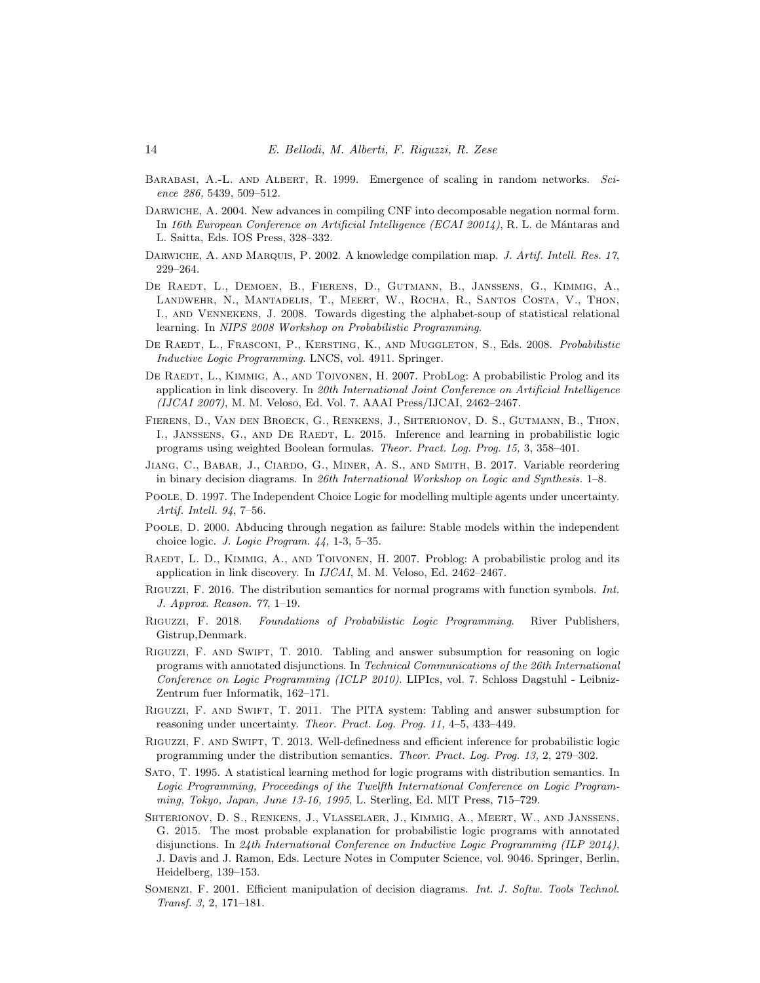- <span id="page-13-18"></span>BARABASI, A.-L. AND ALBERT, R. 1999. Emergence of scaling in random networks. Science 286, 5439, 509–512.
- <span id="page-13-14"></span>Darwiche, A. 2004. New advances in compiling CNF into decomposable negation normal form. In 16th European Conference on Artificial Intelligence (ECAI 20014), R. L. de Mántaras and L. Saitta, Eds. IOS Press, 328–332.
- <span id="page-13-12"></span>DARWICHE, A. AND MARQUIS, P. 2002. A knowledge compilation map. J. Artif. Intell. Res. 17, 229–264.
- <span id="page-13-5"></span>De Raedt, L., Demoen, B., Fierens, D., Gutmann, B., Janssens, G., Kimmig, A., Landwehr, N., Mantadelis, T., Meert, W., Rocha, R., Santos Costa, V., Thon, I., and Vennekens, J. 2008. Towards digesting the alphabet-soup of statistical relational learning. In NIPS 2008 Workshop on Probabilistic Programming.
- <span id="page-13-0"></span>DE RAEDT, L., FRASCONI, P., KERSTING, K., AND MUGGLETON, S., Eds. 2008. Probabilistic Inductive Logic Programming. LNCS, vol. 4911. Springer.
- <span id="page-13-4"></span>DE RAEDT, L., KIMMIG, A., AND TOIVONEN, H. 2007. ProbLog: A probabilistic Prolog and its application in link discovery. In 20th International Joint Conference on Artificial Intelligence (IJCAI 2007), M. M. Veloso, Ed. Vol. 7. AAAI Press/IJCAI, 2462–2467.
- <span id="page-13-17"></span>Fierens, D., Van den Broeck, G., Renkens, J., Shterionov, D. S., Gutmann, B., Thon, I., JANSSENS, G., AND DE RAEDT, L. 2015. Inference and learning in probabilistic logic programs using weighted Boolean formulas. Theor. Pract. Log. Prog. 15, 3, 358–401.
- <span id="page-13-16"></span>Jiang, C., Babar, J., Ciardo, G., Miner, A. S., and Smith, B. 2017. Variable reordering in binary decision diagrams. In 26th International Workshop on Logic and Synthesis. 1–8.
- <span id="page-13-3"></span>Poole, D. 1997. The Independent Choice Logic for modelling multiple agents under uncertainty. Artif. Intell. 94, 7–56.
- <span id="page-13-10"></span>Poole, D. 2000. Abducing through negation as failure: Stable models within the independent choice logic. J. Logic Program. 44, 1-3, 5–35.
- <span id="page-13-13"></span>RAEDT, L. D., KIMMIG, A., AND TOIVONEN, H. 2007. Problog: A probabilistic prolog and its application in link discovery. In IJCAI, M. M. Veloso, Ed. 2462–2467.
- <span id="page-13-11"></span>Riguzzi, F. 2016. The distribution semantics for normal programs with function symbols. Int. J. Approx. Reason. 77, 1–19.
- <span id="page-13-1"></span>Riguzzi, F. 2018. Foundations of Probabilistic Logic Programming. River Publishers, Gistrup,Denmark.
- <span id="page-13-6"></span>Riguzzi, F. and Swift, T. 2010. Tabling and answer subsumption for reasoning on logic programs with annotated disjunctions. In Technical Communications of the 26th International Conference on Logic Programming (ICLP 2010). LIPIcs, vol. 7. Schloss Dagstuhl - Leibniz-Zentrum fuer Informatik, 162–171.
- <span id="page-13-7"></span>Riguzzi, F. and Swift, T. 2011. The PITA system: Tabling and answer subsumption for reasoning under uncertainty. Theor. Pract. Log. Prog. 11, 4–5, 433–449.
- <span id="page-13-8"></span>Riguzzi, F. and Swift, T. 2013. Well-definedness and efficient inference for probabilistic logic programming under the distribution semantics. Theor. Pract. Log. Prog. 13, 2, 279–302.
- <span id="page-13-2"></span>Sato, T. 1995. A statistical learning method for logic programs with distribution semantics. In Logic Programming, Proceedings of the Twelfth International Conference on Logic Programming, Tokyo, Japan, June 13-16, 1995, L. Sterling, Ed. MIT Press, 715–729.
- <span id="page-13-9"></span>Shterionov, D. S., Renkens, J., Vlasselaer, J., Kimmig, A., Meert, W., and Janssens, G. 2015. The most probable explanation for probabilistic logic programs with annotated disjunctions. In 24th International Conference on Inductive Logic Programming (ILP 2014), J. Davis and J. Ramon, Eds. Lecture Notes in Computer Science, vol. 9046. Springer, Berlin, Heidelberg, 139–153.
- <span id="page-13-15"></span>Somenzi, F. 2001. Efficient manipulation of decision diagrams. Int. J. Softw. Tools Technol. Transf. 3, 2, 171–181.